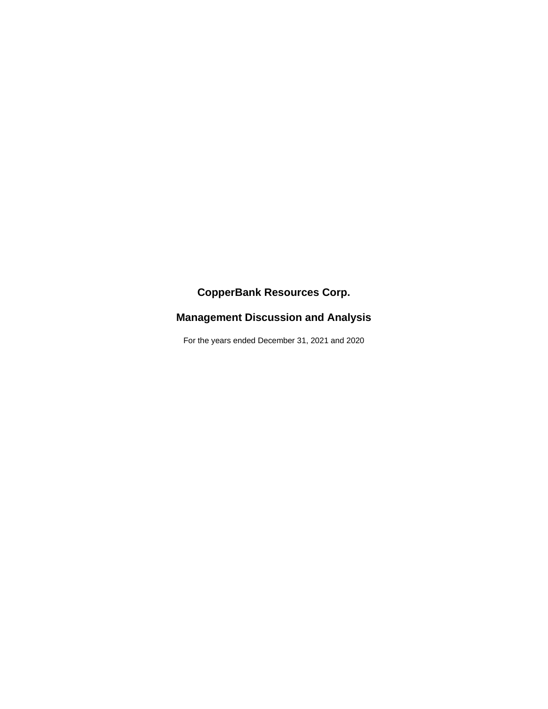# **CopperBank Resources Corp.**

# **Management Discussion and Analysis**

For the years ended December 31, 2021 and 2020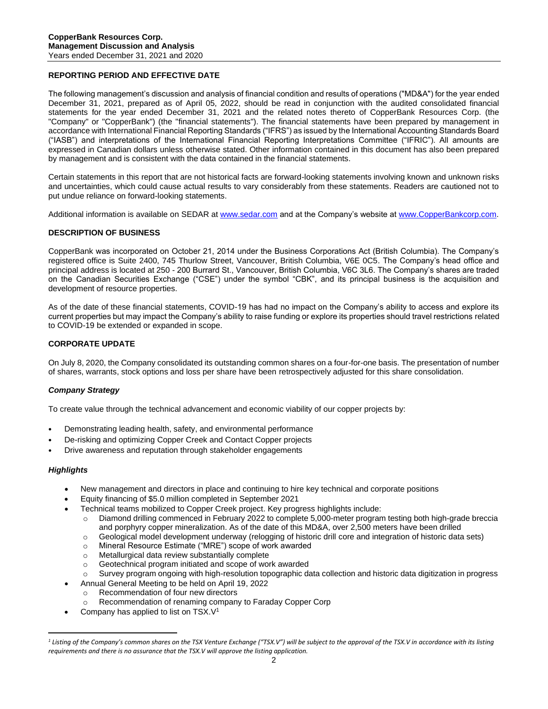# **REPORTING PERIOD AND EFFECTIVE DATE**

The following management's discussion and analysis of financial condition and results of operations ("MD&A") for the year ended December 31, 2021, prepared as of April 05, 2022, should be read in conjunction with the audited consolidated financial statements for the year ended December 31, 2021 and the related notes thereto of CopperBank Resources Corp. (the "Company" or "CopperBank") (the "financial statements"). The financial statements have been prepared by management in accordance with International Financial Reporting Standards ("IFRS") as issued by the International Accounting Standards Board ("IASB") and interpretations of the International Financial Reporting Interpretations Committee ("IFRIC"). All amounts are expressed in Canadian dollars unless otherwise stated. Other information contained in this document has also been prepared by management and is consistent with the data contained in the financial statements.

Certain statements in this report that are not historical facts are forward-looking statements involving known and unknown risks and uncertainties, which could cause actual results to vary considerably from these statements. Readers are cautioned not to put undue reliance on forward-looking statements.

Additional information is available on SEDAR at [www.sedar.com](http://www.sedar.com/) and at the Company's website a[t www.CopperBankcorp.com.](http://www.copperbankcorp.com/)

# **DESCRIPTION OF BUSINESS**

CopperBank was incorporated on October 21, 2014 under the Business Corporations Act (British Columbia). The Company's registered office is Suite 2400, 745 Thurlow Street, Vancouver, British Columbia, V6E 0C5. The Company's head office and principal address is located at 250 - 200 Burrard St., Vancouver, British Columbia, V6C 3L6. The Company's shares are traded on the Canadian Securities Exchange ("CSE") under the symbol "CBK", and its principal business is the acquisition and development of resource properties.

As of the date of these financial statements, COVID-19 has had no impact on the Company's ability to access and explore its current properties but may impact the Company's ability to raise funding or explore its properties should travel restrictions related to COVID-19 be extended or expanded in scope.

# **CORPORATE UPDATE**

On July 8, 2020, the Company consolidated its outstanding common shares on a four-for-one basis. The presentation of number of shares, warrants, stock options and loss per share have been retrospectively adjusted for this share consolidation.

# *Company Strategy*

To create value through the technical advancement and economic viability of our copper projects by:

- Demonstrating leading health, safety, and environmental performance
- De-risking and optimizing Copper Creek and Contact Copper projects
- Drive awareness and reputation through stakeholder engagements

# *Highlights*

- New management and directors in place and continuing to hire key technical and corporate positions
- Equity financing of \$5.0 million completed in September 2021
- Technical teams mobilized to Copper Creek project. Key progress highlights include:
	- o Diamond drilling commenced in February 2022 to complete 5,000-meter program testing both high-grade breccia and porphyry copper mineralization. As of the date of this MD&A, over 2,500 meters have been drilled
	- o Geological model development underway (relogging of historic drill core and integration of historic data sets)
	- o Mineral Resource Estimate ("MRE") scope of work awarded
	- o Metallurgical data review substantially complete
	- o Geotechnical program initiated and scope of work awarded
- o Survey program ongoing with high-resolution topographic data collection and historic data digitization in progress
- Annual General Meeting to be held on April 19, 2022
	- o Recommendation of four new directors
	- Recommendation of renaming company to Faraday Copper Corp
- Company has applied to list on TSX.V<sup>1</sup>

<sup>&</sup>lt;sup>1</sup> Listing of the Company's common shares on the TSX Venture Exchange ("TSX.V") will be subject to the approval of the TSX.V in accordance with its listing *requirements and there is no assurance that the TSX.V will approve the listing application.*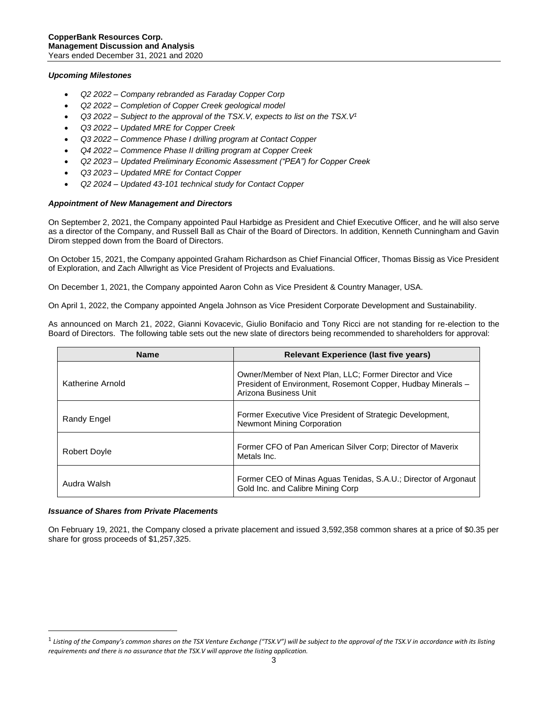## *Upcoming Milestones*

- *Q2 2022 – Company rebranded as Faraday Copper Corp*
- *Q2 2022 – Completion of Copper Creek geological model*
- *Q3 2022 – Subject to the approval of the TSX.V, expects to list on the TSX.V<sup>1</sup>*
- *Q3 2022 – Updated MRE for Copper Creek*
- *Q3 2022 – Commence Phase I drilling program at Contact Copper*
- *Q4 2022 – Commence Phase II drilling program at Copper Creek*
- *Q2 2023 – Updated Preliminary Economic Assessment ("PEA") for Copper Creek*
- *Q3 2023 – Updated MRE for Contact Copper*
- *Q2 2024 – Updated 43-101 technical study for Contact Copper*

# *Appointment of New Management and Directors*

On September 2, 2021, the Company appointed Paul Harbidge as President and Chief Executive Officer, and he will also serve as a director of the Company, and Russell Ball as Chair of the Board of Directors. In addition, Kenneth Cunningham and Gavin Dirom stepped down from the Board of Directors.

On October 15, 2021, the Company appointed Graham Richardson as Chief Financial Officer, Thomas Bissig as Vice President of Exploration, and Zach Allwright as Vice President of Projects and Evaluations.

On December 1, 2021, the Company appointed Aaron Cohn as Vice President & Country Manager, USA.

On April 1, 2022, the Company appointed Angela Johnson as Vice President Corporate Development and Sustainability.

As announced on March 21, 2022, Gianni Kovacevic, Giulio Bonifacio and Tony Ricci are not standing for re-election to the Board of Directors. The following table sets out the new slate of directors being recommended to shareholders for approval:

| <b>Name</b>         | <b>Relevant Experience (last five years)</b>                                                                                                      |
|---------------------|---------------------------------------------------------------------------------------------------------------------------------------------------|
| Katherine Arnold    | Owner/Member of Next Plan, LLC; Former Director and Vice<br>President of Environment, Rosemont Copper, Hudbay Minerals -<br>Arizona Business Unit |
| Randy Engel         | Former Executive Vice President of Strategic Development,<br><b>Newmont Mining Corporation</b>                                                    |
| <b>Robert Doyle</b> | Former CFO of Pan American Silver Corp; Director of Maverix<br>Metals Inc.                                                                        |
| Audra Walsh         | Former CEO of Minas Aguas Tenidas, S.A.U.; Director of Argonaut<br>Gold Inc. and Calibre Mining Corp                                              |

# *Issuance of Shares from Private Placements*

On February 19, 2021, the Company closed a private placement and issued 3,592,358 common shares at a price of \$0.35 per share for gross proceeds of \$1,257,325.

<sup>&</sup>lt;sup>1</sup> Listing of the Company's common shares on the TSX Venture Exchange ("TSX.V") will be subject to the approval of the TSX.V in accordance with its listing *requirements and there is no assurance that the TSX.V will approve the listing application.*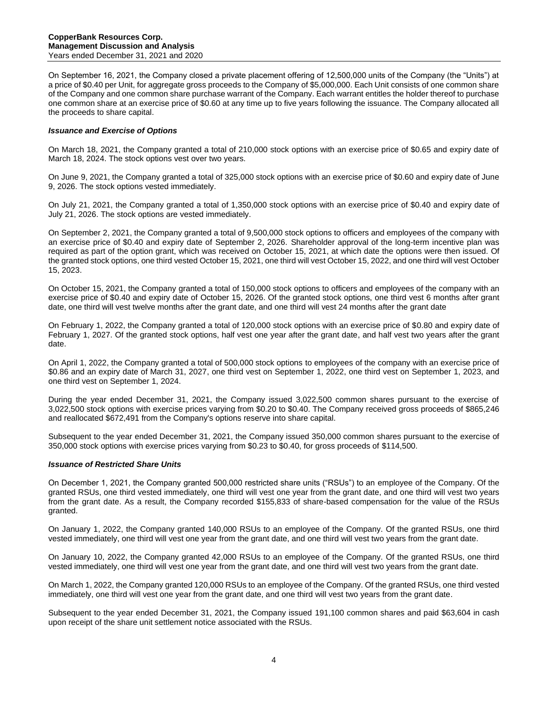On September 16, 2021, the Company closed a private placement offering of 12,500,000 units of the Company (the "Units") at a price of \$0.40 per Unit, for aggregate gross proceeds to the Company of \$5,000,000. Each Unit consists of one common share of the Company and one common share purchase warrant of the Company. Each warrant entitles the holder thereof to purchase one common share at an exercise price of \$0.60 at any time up to five years following the issuance. The Company allocated all the proceeds to share capital.

# *Issuance and Exercise of Options*

On March 18, 2021, the Company granted a total of 210,000 stock options with an exercise price of \$0.65 and expiry date of March 18, 2024. The stock options vest over two years.

On June 9, 2021, the Company granted a total of 325,000 stock options with an exercise price of \$0.60 and expiry date of June 9, 2026. The stock options vested immediately.

On July 21, 2021, the Company granted a total of 1,350,000 stock options with an exercise price of \$0.40 and expiry date of July 21, 2026. The stock options are vested immediately.

On September 2, 2021, the Company granted a total of 9,500,000 stock options to officers and employees of the company with an exercise price of \$0.40 and expiry date of September 2, 2026. Shareholder approval of the long-term incentive plan was required as part of the option grant, which was received on October 15, 2021, at which date the options were then issued. Of the granted stock options, one third vested October 15, 2021, one third will vest October 15, 2022, and one third will vest October 15, 2023.

On October 15, 2021, the Company granted a total of 150,000 stock options to officers and employees of the company with an exercise price of \$0.40 and expiry date of October 15, 2026. Of the granted stock options, one third vest 6 months after grant date, one third will vest twelve months after the grant date, and one third will vest 24 months after the grant date

On February 1, 2022, the Company granted a total of 120,000 stock options with an exercise price of \$0.80 and expiry date of February 1, 2027. Of the granted stock options, half vest one year after the grant date, and half vest two years after the grant date.

On April 1, 2022, the Company granted a total of 500,000 stock options to employees of the company with an exercise price of \$0.86 and an expiry date of March 31, 2027, one third vest on September 1, 2022, one third vest on September 1, 2023, and one third vest on September 1, 2024.

During the year ended December 31, 2021, the Company issued 3,022,500 common shares pursuant to the exercise of 3,022,500 stock options with exercise prices varying from \$0.20 to \$0.40. The Company received gross proceeds of \$865,246 and reallocated \$672,491 from the Company's options reserve into share capital.

Subsequent to the year ended December 31, 2021, the Company issued 350,000 common shares pursuant to the exercise of 350,000 stock options with exercise prices varying from \$0.23 to \$0.40, for gross proceeds of \$114,500.

#### *Issuance of Restricted Share Units*

On December 1, 2021, the Company granted 500,000 restricted share units ("RSUs") to an employee of the Company. Of the granted RSUs, one third vested immediately, one third will vest one year from the grant date, and one third will vest two years from the grant date. As a result, the Company recorded \$155,833 of share-based compensation for the value of the RSUs granted.

On January 1, 2022, the Company granted 140,000 RSUs to an employee of the Company. Of the granted RSUs, one third vested immediately, one third will vest one year from the grant date, and one third will vest two years from the grant date.

On January 10, 2022, the Company granted 42,000 RSUs to an employee of the Company. Of the granted RSUs, one third vested immediately, one third will vest one year from the grant date, and one third will vest two years from the grant date.

On March 1, 2022, the Company granted 120,000 RSUs to an employee of the Company. Of the granted RSUs, one third vested immediately, one third will vest one year from the grant date, and one third will vest two years from the grant date.

Subsequent to the year ended December 31, 2021, the Company issued 191,100 common shares and paid \$63,604 in cash upon receipt of the share unit settlement notice associated with the RSUs.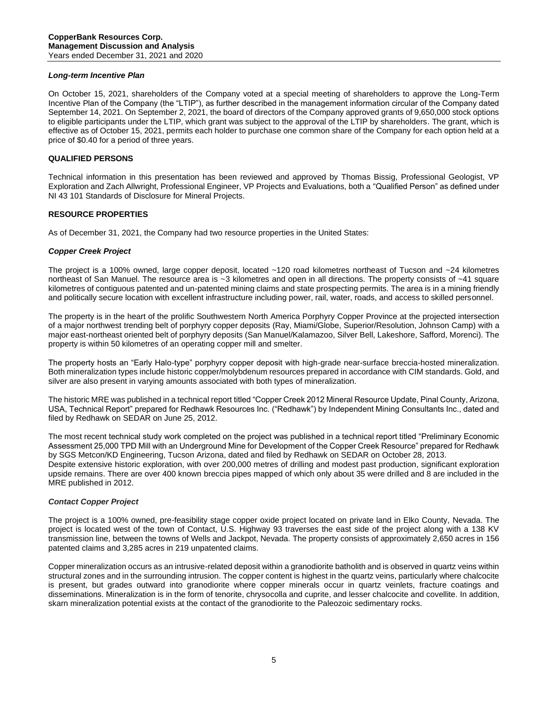#### *Long-term Incentive Plan*

On October 15, 2021, shareholders of the Company voted at a special meeting of shareholders to approve the Long-Term Incentive Plan of the Company (the "LTIP"), as further described in the management information circular of the Company dated September 14, 2021. On September 2, 2021, the board of directors of the Company approved grants of 9,650,000 stock options to eligible participants under the LTIP, which grant was subject to the approval of the LTIP by shareholders. The grant, which is effective as of October 15, 2021, permits each holder to purchase one common share of the Company for each option held at a price of \$0.40 for a period of three years.

#### **QUALIFIED PERSONS**

Technical information in this presentation has been reviewed and approved by Thomas Bissig, Professional Geologist, VP Exploration and Zach Allwright, Professional Engineer, VP Projects and Evaluations, both a "Qualified Person" as defined under NI 43 101 Standards of Disclosure for Mineral Projects.

#### **RESOURCE PROPERTIES**

As of December 31, 2021, the Company had two resource properties in the United States:

# *Copper Creek Project*

The project is a 100% owned, large copper deposit, located ~120 road kilometres northeast of Tucson and ~24 kilometres northeast of San Manuel. The resource area is ~3 kilometres and open in all directions. The property consists of ~41 square kilometres of contiguous patented and un-patented mining claims and state prospecting permits. The area is in a mining friendly and politically secure location with excellent infrastructure including power, rail, water, roads, and access to skilled personnel.

The property is in the heart of the prolific Southwestern North America Porphyry Copper Province at the projected intersection of a major northwest trending belt of porphyry copper deposits (Ray, Miami/Globe, Superior/Resolution, Johnson Camp) with a major east-northeast oriented belt of porphyry deposits (San Manuel/Kalamazoo, Silver Bell, Lakeshore, Safford, Morenci). The property is within 50 kilometres of an operating copper mill and smelter.

The property hosts an "Early Halo-type" porphyry copper deposit with high-grade near-surface breccia-hosted mineralization. Both mineralization types include historic copper/molybdenum resources prepared in accordance with CIM standards. Gold, and silver are also present in varying amounts associated with both types of mineralization.

The historic MRE was published in a technical report titled "Copper Creek 2012 Mineral Resource Update, Pinal County, Arizona, USA, Technical Report" prepared for Redhawk Resources Inc. ("Redhawk") by Independent Mining Consultants Inc., dated and filed by Redhawk on SEDAR on June 25, 2012.

The most recent technical study work completed on the project was published in a technical report titled "Preliminary Economic Assessment 25,000 TPD Mill with an Underground Mine for Development of the Copper Creek Resource" prepared for Redhawk by SGS Metcon/KD Engineering, Tucson Arizona, dated and filed by Redhawk on SEDAR on October 28, 2013. Despite extensive historic exploration, with over 200,000 metres of drilling and modest past production, significant exploration upside remains. There are over 400 known breccia pipes mapped of which only about 35 were drilled and 8 are included in the MRE published in 2012.

# *Contact Copper Project*

The project is a 100% owned, pre-feasibility stage copper oxide project located on private land in Elko County, Nevada. The project is located west of the town of Contact, U.S. Highway 93 traverses the east side of the project along with a 138 KV transmission line, between the towns of Wells and Jackpot, Nevada. The property consists of approximately 2,650 acres in 156 patented claims and 3,285 acres in 219 unpatented claims.

Copper mineralization occurs as an intrusive-related deposit within a granodiorite batholith and is observed in quartz veins within structural zones and in the surrounding intrusion. The copper content is highest in the quartz veins, particularly where chalcocite is present, but grades outward into granodiorite where copper minerals occur in quartz veinlets, fracture coatings and disseminations. Mineralization is in the form of tenorite, chrysocolla and cuprite, and lesser chalcocite and covellite. In addition, skarn mineralization potential exists at the contact of the granodiorite to the Paleozoic sedimentary rocks.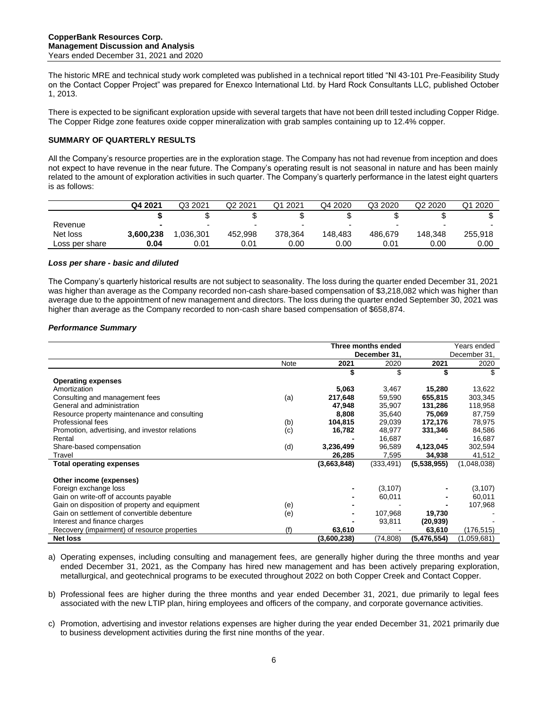The historic MRE and technical study work completed was published in a technical report titled "NI 43-101 Pre-Feasibility Study on the Contact Copper Project" was prepared for Enexco International Ltd. by Hard Rock Consultants LLC, published October 1, 2013.

There is expected to be significant exploration upside with several targets that have not been drill tested including Copper Ridge. The Copper Ridge zone features oxide copper mineralization with grab samples containing up to 12.4% copper.

# **SUMMARY OF QUARTERLY RESULTS**

All the Company's resource properties are in the exploration stage. The Company has not had revenue from inception and does not expect to have revenue in the near future. The Company's operating result is not seasonal in nature and has been mainly related to the amount of exploration activities in such quarter. The Company's quarterly performance in the latest eight quarters is as follows:

|                | Q4 2021   | Q3 2021                  | Q2 2021                  | 2021<br>Q1               | Q4 2020 | Q3 2020 | Q <sub>2</sub> 2020 | Q1 2020                  |
|----------------|-----------|--------------------------|--------------------------|--------------------------|---------|---------|---------------------|--------------------------|
|                |           |                          | w                        |                          |         |         |                     |                          |
| Revenue        |           | $\overline{\phantom{0}}$ | $\overline{\phantom{a}}$ | $\overline{\phantom{a}}$ |         |         |                     | $\overline{\phantom{0}}$ |
| Net loss       | 3.600.238 | .036.301                 | 452.998                  | 378.364                  | 148.483 | 486.679 | 148.348             | 255,918                  |
| Loss per share | 0.04      | 0.01                     | 0.01                     | 0.00                     | 0.00    | 0.01    | 0.00                | 0.00                     |

# *Loss per share - basic and diluted*

The Company's quarterly historical results are not subject to seasonality. The loss during the quarter ended December 31, 2021 was higher than average as the Company recorded non-cash share-based compensation of \$3,218,082 which was higher than average due to the appointment of new management and directors. The loss during the quarter ended September 30, 2021 was higher than average as the Company recorded to non-cash share based compensation of \$658,874.

# *Performance Summary*

|                                                |      |             | Three months ended<br>December 31, | Years ended<br>December 31, |             |
|------------------------------------------------|------|-------------|------------------------------------|-----------------------------|-------------|
|                                                | Note | 2021        | 2020                               | 2021                        | 2020        |
|                                                |      | \$          | \$                                 | \$                          | S           |
| <b>Operating expenses</b>                      |      |             |                                    |                             |             |
| Amortization                                   |      | 5,063       | 3,467                              | 15,280                      | 13,622      |
| Consulting and management fees                 | (a)  | 217,648     | 59,590                             | 655,815                     | 303,345     |
| General and administration                     |      | 47,948      | 35,907                             | 131,286                     | 118,958     |
| Resource property maintenance and consulting   |      | 8.808       | 35,640                             | 75,069                      | 87,759      |
| Professional fees                              | (b)  | 104,815     | 29,039                             | 172,176                     | 78,975      |
| Promotion, advertising, and investor relations | (c)  | 16,782      | 48,977                             | 331,346                     | 84,586      |
| Rental                                         |      |             | 16,687                             |                             | 16,687      |
| Share-based compensation                       | (d)  | 3,236,499   | 96,589                             | 4,123,045                   | 302,594     |
| Travel                                         |      | 26,285      | 7,595                              | 34,938                      | 41,512      |
| <b>Total operating expenses</b>                |      | (3,663,848) | (333, 491)                         | (5,538,955)                 | (1,048,038) |
| Other income (expenses)                        |      |             |                                    |                             |             |
| Foreign exchange loss                          |      |             | (3, 107)                           |                             | (3, 107)    |
| Gain on write-off of accounts payable          |      |             | 60,011                             |                             | 60,011      |
| Gain on disposition of property and equipment  | (e)  |             |                                    |                             | 107,968     |
| Gain on settlement of convertible debenture    | (e)  |             | 107,968                            | 19,730                      |             |
| Interest and finance charges                   |      |             | 93,811                             | (20, 939)                   |             |
| Recovery (impairment) of resource properties   | (f)  | 63,610      |                                    | 63,610                      | (176, 515)  |
| <b>Net loss</b>                                |      | (3,600,238) | (74, 808)                          | (5,476,554)                 | (1,059,681) |

- a) Operating expenses, including consulting and management fees, are generally higher during the three months and year ended December 31, 2021, as the Company has hired new management and has been actively preparing exploration, metallurgical, and geotechnical programs to be executed throughout 2022 on both Copper Creek and Contact Copper.
- b) Professional fees are higher during the three months and year ended December 31, 2021, due primarily to legal fees associated with the new LTIP plan, hiring employees and officers of the company, and corporate governance activities.
- c) Promotion, advertising and investor relations expenses are higher during the year ended December 31, 2021 primarily due to business development activities during the first nine months of the year.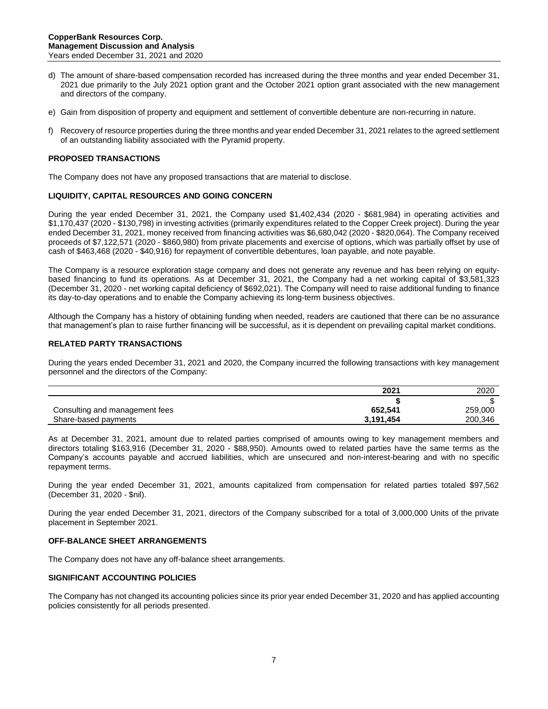- d) The amount of share-based compensation recorded has increased during the three months and year ended December 31, 2021 due primarily to the July 2021 option grant and the October 2021 option grant associated with the new management and directors of the company.
- e) Gain from disposition of property and equipment and settlement of convertible debenture are non-recurring in nature.
- f) Recovery of resource properties during the three months and year ended December 31, 2021 relates to the agreed settlement of an outstanding liability associated with the Pyramid property.

# **PROPOSED TRANSACTIONS**

The Company does not have any proposed transactions that are material to disclose.

#### **LIQUIDITY, CAPITAL RESOURCES AND GOING CONCERN**

During the year ended December 31, 2021, the Company used \$1,402,434 (2020 - \$681,984) in operating activities and \$1,170,437 (2020 - \$130,798) in investing activities (primarily expenditures related to the Copper Creek project). During the year ended December 31, 2021, money received from financing activities was \$6,680,042 (2020 - \$820,064). The Company received proceeds of \$7,122,571 (2020 - \$860,980) from private placements and exercise of options, which was partially offset by use of cash of \$463,468 (2020 - \$40,916) for repayment of convertible debentures, loan payable, and note payable.

The Company is a resource exploration stage company and does not generate any revenue and has been relying on equitybased financing to fund its operations. As at December 31, 2021, the Company had a net working capital of \$3,581,323 (December 31, 2020 - net working capital deficiency of \$692,021). The Company will need to raise additional funding to finance its day-to-day operations and to enable the Company achieving its long-term business objectives.

Although the Company has a history of obtaining funding when needed, readers are cautioned that there can be no assurance that management's plan to raise further financing will be successful, as it is dependent on prevailing capital market conditions.

#### **RELATED PARTY TRANSACTIONS**

During the years ended December 31, 2021 and 2020, the Company incurred the following transactions with key management personnel and the directors of the Company:

|                                | 2021      | 2020    |
|--------------------------------|-----------|---------|
|                                |           |         |
| Consulting and management fees | 652.541   | 259,000 |
| Share-based payments           | 3,191,454 | 200,346 |

As at December 31, 2021, amount due to related parties comprised of amounts owing to key management members and directors totaling \$163,916 (December 31, 2020 - \$88,950). Amounts owed to related parties have the same terms as the Company's accounts payable and accrued liabilities, which are unsecured and non-interest-bearing and with no specific repayment terms.

During the year ended December 31, 2021, amounts capitalized from compensation for related parties totaled \$97,562 (December 31, 2020 - \$nil).

During the year ended December 31, 2021, directors of the Company subscribed for a total of 3,000,000 Units of the private placement in September 2021.

#### **OFF-BALANCE SHEET ARRANGEMENTS**

The Company does not have any off-balance sheet arrangements.

# **SIGNIFICANT ACCOUNTING POLICIES**

The Company has not changed its accounting policies since its prior year ended December 31, 2020 and has applied accounting policies consistently for all periods presented.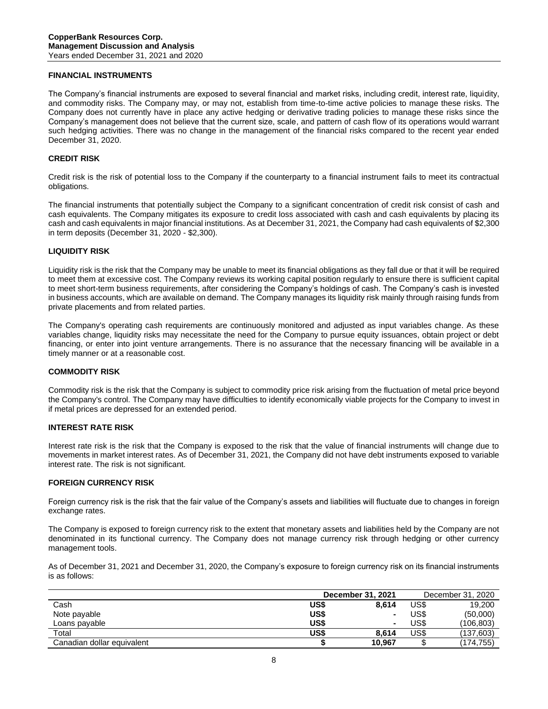# **FINANCIAL INSTRUMENTS**

The Company's financial instruments are exposed to several financial and market risks, including credit, interest rate, liquidity, and commodity risks. The Company may, or may not, establish from time-to-time active policies to manage these risks. The Company does not currently have in place any active hedging or derivative trading policies to manage these risks since the Company's management does not believe that the current size, scale, and pattern of cash flow of its operations would warrant such hedging activities. There was no change in the management of the financial risks compared to the recent year ended December 31, 2020.

#### **CREDIT RISK**

Credit risk is the risk of potential loss to the Company if the counterparty to a financial instrument fails to meet its contractual obligations.

The financial instruments that potentially subject the Company to a significant concentration of credit risk consist of cash and cash equivalents. The Company mitigates its exposure to credit loss associated with cash and cash equivalents by placing its cash and cash equivalents in major financial institutions. As at December 31, 2021, the Company had cash equivalents of \$2,300 in term deposits (December 31, 2020 - \$2,300).

# **LIQUIDITY RISK**

Liquidity risk is the risk that the Company may be unable to meet its financial obligations as they fall due or that it will be required to meet them at excessive cost. The Company reviews its working capital position regularly to ensure there is sufficient capital to meet short-term business requirements, after considering the Company's holdings of cash. The Company's cash is invested in business accounts, which are available on demand. The Company manages its liquidity risk mainly through raising funds from private placements and from related parties.

The Company's operating cash requirements are continuously monitored and adjusted as input variables change. As these variables change, liquidity risks may necessitate the need for the Company to pursue equity issuances, obtain project or debt financing, or enter into joint venture arrangements. There is no assurance that the necessary financing will be available in a timely manner or at a reasonable cost.

#### **COMMODITY RISK**

Commodity risk is the risk that the Company is subject to commodity price risk arising from the fluctuation of metal price beyond the Company's control. The Company may have difficulties to identify economically viable projects for the Company to invest in if metal prices are depressed for an extended period.

#### **INTEREST RATE RISK**

Interest rate risk is the risk that the Company is exposed to the risk that the value of financial instruments will change due to movements in market interest rates. As of December 31, 2021, the Company did not have debt instruments exposed to variable interest rate. The risk is not significant.

#### **FOREIGN CURRENCY RISK**

Foreign currency risk is the risk that the fair value of the Company's assets and liabilities will fluctuate due to changes in foreign exchange rates.

The Company is exposed to foreign currency risk to the extent that monetary assets and liabilities held by the Company are not denominated in its functional currency. The Company does not manage currency risk through hedging or other currency management tools.

As of December 31, 2021 and December 31, 2020, the Company's exposure to foreign currency risk on its financial instruments is as follows:

|                            | December 31, 2021 |        |      | December 31, 2020 |  |
|----------------------------|-------------------|--------|------|-------------------|--|
| Cash                       | US\$              | 8.614  | US\$ | 19.200            |  |
| Note payable               | US\$              | $\sim$ | US\$ | (50,000)          |  |
| Loans payable              | US\$              |        | US\$ | (106,803)         |  |
| Total                      | US\$              | 8.614  | US\$ | (137,603)         |  |
| Canadian dollar equivalent |                   | 10.967 |      | (174, 755)        |  |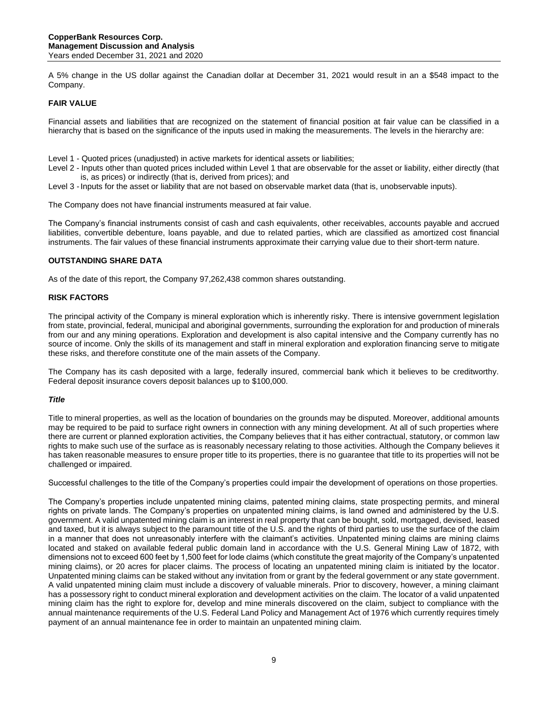A 5% change in the US dollar against the Canadian dollar at December 31, 2021 would result in an a \$548 impact to the Company.

# **FAIR VALUE**

Financial assets and liabilities that are recognized on the statement of financial position at fair value can be classified in a hierarchy that is based on the significance of the inputs used in making the measurements. The levels in the hierarchy are:

- Level 1 Quoted prices (unadjusted) in active markets for identical assets or liabilities;
- Level 2 Inputs other than quoted prices included within Level 1 that are observable for the asset or liability, either directly (that is, as prices) or indirectly (that is, derived from prices); and
- Level 3 Inputs for the asset or liability that are not based on observable market data (that is, unobservable inputs).

The Company does not have financial instruments measured at fair value.

The Company's financial instruments consist of cash and cash equivalents, other receivables, accounts payable and accrued liabilities, convertible debenture, loans payable, and due to related parties, which are classified as amortized cost financial instruments. The fair values of these financial instruments approximate their carrying value due to their short-term nature.

#### **OUTSTANDING SHARE DATA**

As of the date of this report, the Company 97,262,438 common shares outstanding.

#### **RISK FACTORS**

The principal activity of the Company is mineral exploration which is inherently risky. There is intensive government legislation from state, provincial, federal, municipal and aboriginal governments, surrounding the exploration for and production of minerals from our and any mining operations. Exploration and development is also capital intensive and the Company currently has no source of income. Only the skills of its management and staff in mineral exploration and exploration financing serve to mitigate these risks, and therefore constitute one of the main assets of the Company.

The Company has its cash deposited with a large, federally insured, commercial bank which it believes to be creditworthy. Federal deposit insurance covers deposit balances up to \$100,000.

#### *Title*

Title to mineral properties, as well as the location of boundaries on the grounds may be disputed. Moreover, additional amounts may be required to be paid to surface right owners in connection with any mining development. At all of such properties where there are current or planned exploration activities, the Company believes that it has either contractual, statutory, or common law rights to make such use of the surface as is reasonably necessary relating to those activities. Although the Company believes it has taken reasonable measures to ensure proper title to its properties, there is no guarantee that title to its properties will not be challenged or impaired.

Successful challenges to the title of the Company's properties could impair the development of operations on those properties.

The Company's properties include unpatented mining claims, patented mining claims, state prospecting permits, and mineral rights on private lands. The Company's properties on unpatented mining claims, is land owned and administered by the U.S. government. A valid unpatented mining claim is an interest in real property that can be bought, sold, mortgaged, devised, leased and taxed, but it is always subject to the paramount title of the U.S. and the rights of third parties to use the surface of the claim in a manner that does not unreasonably interfere with the claimant's activities. Unpatented mining claims are mining claims located and staked on available federal public domain land in accordance with the U.S. General Mining Law of 1872, with dimensions not to exceed 600 feet by 1,500 feet for lode claims (which constitute the great majority of the Company's unpatented mining claims), or 20 acres for placer claims. The process of locating an unpatented mining claim is initiated by the locator. Unpatented mining claims can be staked without any invitation from or grant by the federal government or any state government. A valid unpatented mining claim must include a discovery of valuable minerals. Prior to discovery, however, a mining claimant has a possessory right to conduct mineral exploration and development activities on the claim. The locator of a valid unpatented mining claim has the right to explore for, develop and mine minerals discovered on the claim, subject to compliance with the annual maintenance requirements of the U.S. Federal Land Policy and Management Act of 1976 which currently requires timely payment of an annual maintenance fee in order to maintain an unpatented mining claim.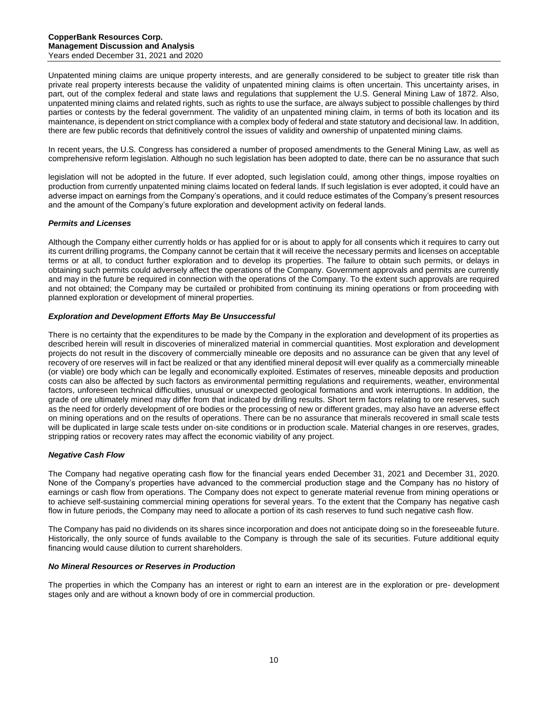Unpatented mining claims are unique property interests, and are generally considered to be subject to greater title risk than private real property interests because the validity of unpatented mining claims is often uncertain. This uncertainty arises, in part, out of the complex federal and state laws and regulations that supplement the U.S. General Mining Law of 1872. Also, unpatented mining claims and related rights, such as rights to use the surface, are always subject to possible challenges by third parties or contests by the federal government. The validity of an unpatented mining claim, in terms of both its location and its maintenance, is dependent on strict compliance with a complex body of federal and state statutory and decisional law. In addition, there are few public records that definitively control the issues of validity and ownership of unpatented mining claims.

In recent years, the U.S. Congress has considered a number of proposed amendments to the General Mining Law, as well as comprehensive reform legislation. Although no such legislation has been adopted to date, there can be no assurance that such

legislation will not be adopted in the future. If ever adopted, such legislation could, among other things, impose royalties on production from currently unpatented mining claims located on federal lands. If such legislation is ever adopted, it could have an adverse impact on earnings from the Company's operations, and it could reduce estimates of the Company's present resources and the amount of the Company's future exploration and development activity on federal lands.

# *Permits and Licenses*

Although the Company either currently holds or has applied for or is about to apply for all consents which it requires to carry out its current drilling programs, the Company cannot be certain that it will receive the necessary permits and licenses on acceptable terms or at all, to conduct further exploration and to develop its properties. The failure to obtain such permits, or delays in obtaining such permits could adversely affect the operations of the Company. Government approvals and permits are currently and may in the future be required in connection with the operations of the Company. To the extent such approvals are required and not obtained; the Company may be curtailed or prohibited from continuing its mining operations or from proceeding with planned exploration or development of mineral properties.

# *Exploration and Development Efforts May Be Unsuccessful*

There is no certainty that the expenditures to be made by the Company in the exploration and development of its properties as described herein will result in discoveries of mineralized material in commercial quantities. Most exploration and development projects do not result in the discovery of commercially mineable ore deposits and no assurance can be given that any level of recovery of ore reserves will in fact be realized or that any identified mineral deposit will ever qualify as a commercially mineable (or viable) ore body which can be legally and economically exploited. Estimates of reserves, mineable deposits and production costs can also be affected by such factors as environmental permitting regulations and requirements, weather, environmental factors, unforeseen technical difficulties, unusual or unexpected geological formations and work interruptions. In addition, the grade of ore ultimately mined may differ from that indicated by drilling results. Short term factors relating to ore reserves, such as the need for orderly development of ore bodies or the processing of new or different grades, may also have an adverse effect on mining operations and on the results of operations. There can be no assurance that minerals recovered in small scale tests will be duplicated in large scale tests under on-site conditions or in production scale. Material changes in ore reserves, grades, stripping ratios or recovery rates may affect the economic viability of any project.

# *Negative Cash Flow*

The Company had negative operating cash flow for the financial years ended December 31, 2021 and December 31, 2020. None of the Company's properties have advanced to the commercial production stage and the Company has no history of earnings or cash flow from operations. The Company does not expect to generate material revenue from mining operations or to achieve self-sustaining commercial mining operations for several years. To the extent that the Company has negative cash flow in future periods, the Company may need to allocate a portion of its cash reserves to fund such negative cash flow.

The Company has paid no dividends on its shares since incorporation and does not anticipate doing so in the foreseeable future. Historically, the only source of funds available to the Company is through the sale of its securities. Future additional equity financing would cause dilution to current shareholders.

# *No Mineral Resources or Reserves in Production*

The properties in which the Company has an interest or right to earn an interest are in the exploration or pre- development stages only and are without a known body of ore in commercial production.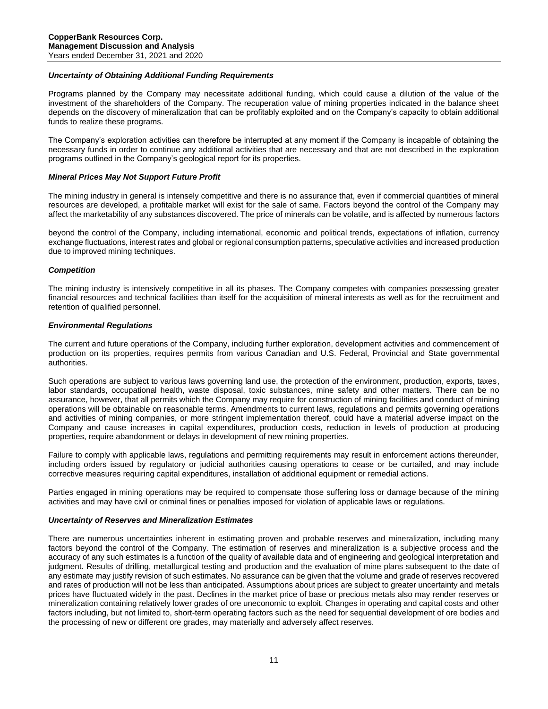#### *Uncertainty of Obtaining Additional Funding Requirements*

Programs planned by the Company may necessitate additional funding, which could cause a dilution of the value of the investment of the shareholders of the Company. The recuperation value of mining properties indicated in the balance sheet depends on the discovery of mineralization that can be profitably exploited and on the Company's capacity to obtain additional funds to realize these programs.

The Company's exploration activities can therefore be interrupted at any moment if the Company is incapable of obtaining the necessary funds in order to continue any additional activities that are necessary and that are not described in the exploration programs outlined in the Company's geological report for its properties.

#### *Mineral Prices May Not Support Future Profit*

The mining industry in general is intensely competitive and there is no assurance that, even if commercial quantities of mineral resources are developed, a profitable market will exist for the sale of same. Factors beyond the control of the Company may affect the marketability of any substances discovered. The price of minerals can be volatile, and is affected by numerous factors

beyond the control of the Company, including international, economic and political trends, expectations of inflation, currency exchange fluctuations, interest rates and global or regional consumption patterns, speculative activities and increased production due to improved mining techniques.

#### *Competition*

The mining industry is intensively competitive in all its phases. The Company competes with companies possessing greater financial resources and technical facilities than itself for the acquisition of mineral interests as well as for the recruitment and retention of qualified personnel.

#### *Environmental Regulations*

The current and future operations of the Company, including further exploration, development activities and commencement of production on its properties, requires permits from various Canadian and U.S. Federal, Provincial and State governmental authorities.

Such operations are subject to various laws governing land use, the protection of the environment, production, exports, taxes, labor standards, occupational health, waste disposal, toxic substances, mine safety and other matters. There can be no assurance, however, that all permits which the Company may require for construction of mining facilities and conduct of mining operations will be obtainable on reasonable terms. Amendments to current laws, regulations and permits governing operations and activities of mining companies, or more stringent implementation thereof, could have a material adverse impact on the Company and cause increases in capital expenditures, production costs, reduction in levels of production at producing properties, require abandonment or delays in development of new mining properties.

Failure to comply with applicable laws, regulations and permitting requirements may result in enforcement actions thereunder, including orders issued by regulatory or judicial authorities causing operations to cease or be curtailed, and may include corrective measures requiring capital expenditures, installation of additional equipment or remedial actions.

Parties engaged in mining operations may be required to compensate those suffering loss or damage because of the mining activities and may have civil or criminal fines or penalties imposed for violation of applicable laws or regulations.

#### *Uncertainty of Reserves and Mineralization Estimates*

There are numerous uncertainties inherent in estimating proven and probable reserves and mineralization, including many factors beyond the control of the Company. The estimation of reserves and mineralization is a subjective process and the accuracy of any such estimates is a function of the quality of available data and of engineering and geological interpretation and judgment. Results of drilling, metallurgical testing and production and the evaluation of mine plans subsequent to the date of any estimate may justify revision of such estimates. No assurance can be given that the volume and grade of reserves recovered and rates of production will not be less than anticipated. Assumptions about prices are subject to greater uncertainty and metals prices have fluctuated widely in the past. Declines in the market price of base or precious metals also may render reserves or mineralization containing relatively lower grades of ore uneconomic to exploit. Changes in operating and capital costs and other factors including, but not limited to, short-term operating factors such as the need for sequential development of ore bodies and the processing of new or different ore grades, may materially and adversely affect reserves.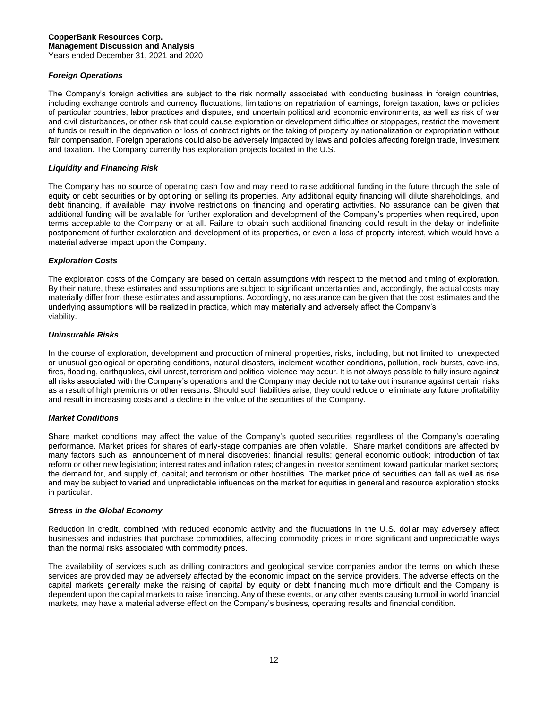# *Foreign Operations*

The Company's foreign activities are subject to the risk normally associated with conducting business in foreign countries, including exchange controls and currency fluctuations, limitations on repatriation of earnings, foreign taxation, laws or policies of particular countries, labor practices and disputes, and uncertain political and economic environments, as well as risk of war and civil disturbances, or other risk that could cause exploration or development difficulties or stoppages, restrict the movement of funds or result in the deprivation or loss of contract rights or the taking of property by nationalization or expropriation without fair compensation. Foreign operations could also be adversely impacted by laws and policies affecting foreign trade, investment and taxation. The Company currently has exploration projects located in the U.S.

# *Liquidity and Financing Risk*

The Company has no source of operating cash flow and may need to raise additional funding in the future through the sale of equity or debt securities or by optioning or selling its properties. Any additional equity financing will dilute shareholdings, and debt financing, if available, may involve restrictions on financing and operating activities. No assurance can be given that additional funding will be available for further exploration and development of the Company's properties when required, upon terms acceptable to the Company or at all. Failure to obtain such additional financing could result in the delay or indefinite postponement of further exploration and development of its properties, or even a loss of property interest, which would have a material adverse impact upon the Company.

# *Exploration Costs*

The exploration costs of the Company are based on certain assumptions with respect to the method and timing of exploration. By their nature, these estimates and assumptions are subject to significant uncertainties and, accordingly, the actual costs may materially differ from these estimates and assumptions. Accordingly, no assurance can be given that the cost estimates and the underlying assumptions will be realized in practice, which may materially and adversely affect the Company's viability.

# *Uninsurable Risks*

In the course of exploration, development and production of mineral properties, risks, including, but not limited to, unexpected or unusual geological or operating conditions, natural disasters, inclement weather conditions, pollution, rock bursts, cave-ins, fires, flooding, earthquakes, civil unrest, terrorism and political violence may occur. It is not always possible to fully insure against all risks associated with the Company's operations and the Company may decide not to take out insurance against certain risks as a result of high premiums or other reasons. Should such liabilities arise, they could reduce or eliminate any future profitability and result in increasing costs and a decline in the value of the securities of the Company.

# *Market Conditions*

Share market conditions may affect the value of the Company's quoted securities regardless of the Company's operating performance. Market prices for shares of early-stage companies are often volatile. Share market conditions are affected by many factors such as: announcement of mineral discoveries; financial results; general economic outlook; introduction of tax reform or other new legislation; interest rates and inflation rates; changes in investor sentiment toward particular market sectors; the demand for, and supply of, capital; and terrorism or other hostilities. The market price of securities can fall as well as rise and may be subject to varied and unpredictable influences on the market for equities in general and resource exploration stocks in particular.

# *Stress in the Global Economy*

Reduction in credit, combined with reduced economic activity and the fluctuations in the U.S. dollar may adversely affect businesses and industries that purchase commodities, affecting commodity prices in more significant and unpredictable ways than the normal risks associated with commodity prices.

The availability of services such as drilling contractors and geological service companies and/or the terms on which these services are provided may be adversely affected by the economic impact on the service providers. The adverse effects on the capital markets generally make the raising of capital by equity or debt financing much more difficult and the Company is dependent upon the capital markets to raise financing. Any of these events, or any other events causing turmoil in world financial markets, may have a material adverse effect on the Company's business, operating results and financial condition.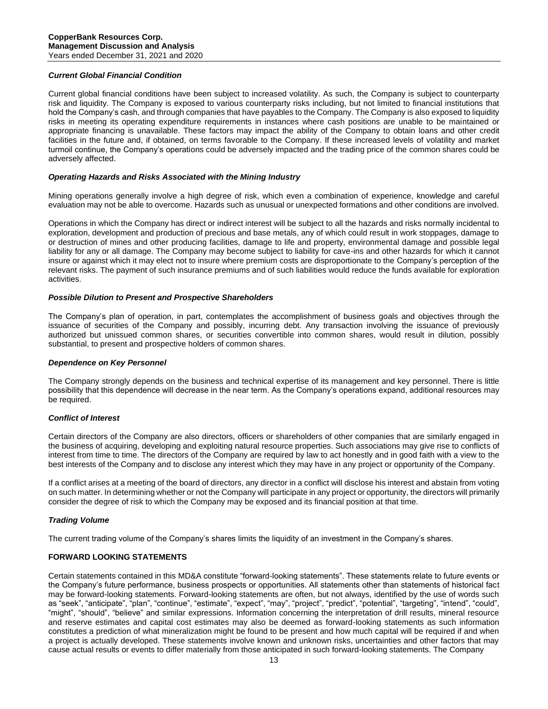## *Current Global Financial Condition*

Current global financial conditions have been subject to increased volatility. As such, the Company is subject to counterparty risk and liquidity. The Company is exposed to various counterparty risks including, but not limited to financial institutions that hold the Company's cash, and through companies that have payables to the Company. The Company is also exposed to liquidity risks in meeting its operating expenditure requirements in instances where cash positions are unable to be maintained or appropriate financing is unavailable. These factors may impact the ability of the Company to obtain loans and other credit facilities in the future and, if obtained, on terms favorable to the Company. If these increased levels of volatility and market turmoil continue, the Company's operations could be adversely impacted and the trading price of the common shares could be adversely affected.

#### *Operating Hazards and Risks Associated with the Mining Industry*

Mining operations generally involve a high degree of risk, which even a combination of experience, knowledge and careful evaluation may not be able to overcome. Hazards such as unusual or unexpected formations and other conditions are involved.

Operations in which the Company has direct or indirect interest will be subject to all the hazards and risks normally incidental to exploration, development and production of precious and base metals, any of which could result in work stoppages, damage to or destruction of mines and other producing facilities, damage to life and property, environmental damage and possible legal liability for any or all damage. The Company may become subject to liability for cave-ins and other hazards for which it cannot insure or against which it may elect not to insure where premium costs are disproportionate to the Company's perception of the relevant risks. The payment of such insurance premiums and of such liabilities would reduce the funds available for exploration activities.

#### *Possible Dilution to Present and Prospective Shareholders*

The Company's plan of operation, in part, contemplates the accomplishment of business goals and objectives through the issuance of securities of the Company and possibly, incurring debt. Any transaction involving the issuance of previously authorized but unissued common shares, or securities convertible into common shares, would result in dilution, possibly substantial, to present and prospective holders of common shares.

#### *Dependence on Key Personnel*

The Company strongly depends on the business and technical expertise of its management and key personnel. There is little possibility that this dependence will decrease in the near term. As the Company's operations expand, additional resources may be required.

#### *Conflict of Interest*

Certain directors of the Company are also directors, officers or shareholders of other companies that are similarly engaged in the business of acquiring, developing and exploiting natural resource properties. Such associations may give rise to conflicts of interest from time to time. The directors of the Company are required by law to act honestly and in good faith with a view to the best interests of the Company and to disclose any interest which they may have in any project or opportunity of the Company.

If a conflict arises at a meeting of the board of directors, any director in a conflict will disclose his interest and abstain from voting on such matter. In determining whether or not the Company will participate in any project or opportunity, the directors will primarily consider the degree of risk to which the Company may be exposed and its financial position at that time.

# *Trading Volume*

The current trading volume of the Company's shares limits the liquidity of an investment in the Company's shares.

#### **FORWARD LOOKING STATEMENTS**

Certain statements contained in this MD&A constitute "forward-looking statements". These statements relate to future events or the Company's future performance, business prospects or opportunities. All statements other than statements of historical fact may be forward-looking statements. Forward-looking statements are often, but not always, identified by the use of words such as "seek", "anticipate", "plan", "continue", "estimate", "expect", "may", "project", "predict", "potential", "targeting", "intend", "could", "might", "should", "believe" and similar expressions. Information concerning the interpretation of drill results, mineral resource and reserve estimates and capital cost estimates may also be deemed as forward-looking statements as such information constitutes a prediction of what mineralization might be found to be present and how much capital will be required if and when a project is actually developed. These statements involve known and unknown risks, uncertainties and other factors that may cause actual results or events to differ materially from those anticipated in such forward-looking statements. The Company